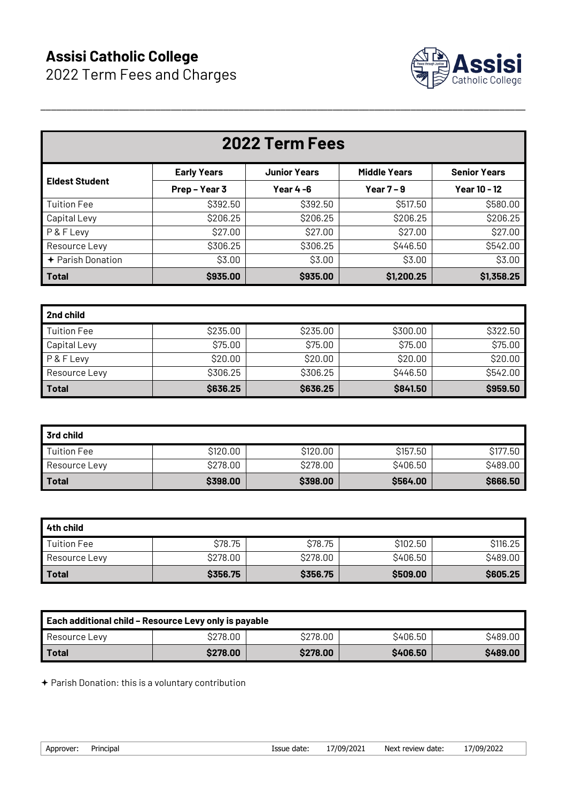

| <b>2022 Term Fees</b>  |                    |                     |                     |                     |  |  |  |
|------------------------|--------------------|---------------------|---------------------|---------------------|--|--|--|
|                        |                    |                     |                     |                     |  |  |  |
| <b>Eldest Student</b>  | <b>Early Years</b> | <b>Junior Years</b> | <b>Middle Years</b> | <b>Senior Years</b> |  |  |  |
|                        | Prep - Year 3      | Year 4-6            | Year $7 - 9$        | Year 10 - 12        |  |  |  |
| <b>Tuition Fee</b>     | \$392.50           | \$392.50            | \$517.50            | \$580.00            |  |  |  |
| Capital Levy           | \$206.25           | \$206.25            | \$206.25            | \$206.25            |  |  |  |
| P&FLevy                | \$27.00            | \$27.00             | \$27.00             | \$27.00             |  |  |  |
| Resource Levy          | \$306.25           | \$306.25            | \$446.50            | \$542.00            |  |  |  |
| $\div$ Parish Donation | \$3.00             | \$3.00              | \$3.00              | \$3.00              |  |  |  |
| <b>Total</b>           | \$935.00           | \$935.00            | \$1,200.25          | \$1,358.25          |  |  |  |

\_\_\_\_\_\_\_\_\_\_\_\_\_\_\_\_\_\_\_\_\_\_\_\_\_\_\_\_\_\_\_\_\_\_\_\_\_\_\_\_\_\_\_\_\_\_\_\_\_\_\_\_\_\_\_\_\_\_\_\_\_\_\_\_\_\_\_\_\_\_\_\_\_\_\_\_\_\_\_\_\_\_\_\_\_\_\_\_\_\_\_\_\_

| 2nd child          |          |          |          |          |  |  |
|--------------------|----------|----------|----------|----------|--|--|
| <b>Tuition Fee</b> | \$235.00 | \$235.00 | \$300.00 | \$322.50 |  |  |
| Capital Levy       | \$75.00  | \$75.00  | \$75.00  | \$75.00  |  |  |
| P&FLevy            | \$20.00  | \$20.00  | \$20.00  | \$20.00  |  |  |
| Resource Levy      | \$306.25 | \$306.25 | \$446.50 | \$542.00 |  |  |
| <b>Total</b>       | \$636.25 | \$636.25 | \$841.50 | \$959.50 |  |  |

| 3rd child          |          |          |          |          |  |  |
|--------------------|----------|----------|----------|----------|--|--|
| <b>Tuition Fee</b> | \$120.00 | \$120.00 | \$157.50 | \$177.50 |  |  |
| Resource Levy      | \$278.00 | \$278.00 | \$406.50 | \$489.00 |  |  |
| <b>Total</b>       | \$398.00 | \$398.00 | \$564.00 | \$666.50 |  |  |

| $\blacksquare$ 4th child |          |          |          |          |  |  |
|--------------------------|----------|----------|----------|----------|--|--|
| Tuition Fee              | \$78.75  | \$78.75  | \$102.50 | \$116.25 |  |  |
| Resource Levy            | \$278.00 | \$278.00 | \$406.50 | \$489.00 |  |  |
| Total                    | \$356.75 | \$356.75 | \$509.00 | \$605.25 |  |  |

| Each additional child - Resource Levy only is payable |          |          |          |          |  |  |
|-------------------------------------------------------|----------|----------|----------|----------|--|--|
| Resource Levy                                         | \$278.00 | \$278.00 | \$406.50 | \$489.00 |  |  |
| Total                                                 | \$278.00 | \$278.00 | \$406.50 | \$489.00 |  |  |

Parish Donation: this is a voluntary contribution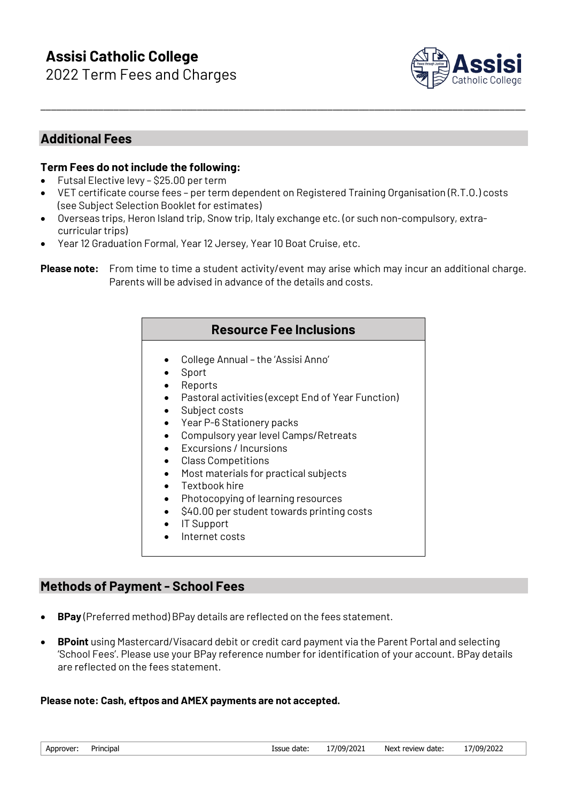

# **Additional Fees**

### **Term Fees do not include the following:**

- Futsal Elective levy \$25.00 per term
- VET certificate course fees per term dependent on Registered Training Organisation (R.T.O.) costs (see Subject Selection Booklet for estimates)

\_\_\_\_\_\_\_\_\_\_\_\_\_\_\_\_\_\_\_\_\_\_\_\_\_\_\_\_\_\_\_\_\_\_\_\_\_\_\_\_\_\_\_\_\_\_\_\_\_\_\_\_\_\_\_\_\_\_\_\_\_\_\_\_\_\_\_\_\_\_\_\_\_\_\_\_\_\_\_\_\_\_\_\_\_\_\_\_\_\_\_\_\_

- Overseas trips, Heron Island trip, Snow trip, Italy exchange etc. (or such non-compulsory, extracurricular trips)
- Year 12 Graduation Formal, Year 12 Jersey, Year 10 Boat Cruise, etc.

**Please note:** From time to time a student activity/event may arise which may incur an additional charge. Parents will be advised in advance of the details and costs.

## **Resource Fee Inclusions**

- College Annual the 'Assisi Anno'
- **Sport**
- Reports
- Pastoral activities (except End of Year Function)
- Subject costs
- Year P-6 Stationery packs
- Compulsory year level Camps/Retreats
- Excursions / Incursions
- Class Competitions
- Most materials for practical subjects
- Textbook hire
- Photocopying of learning resources
- \$40.00 per student towards printing costs
- IT Support
- Internet costs

## **Methods of Payment - School Fees**

- **BPay** (Preferred method) BPay details are reflected on the fees statement.
- **BPoint** using Mastercard/Visacard debit or credit card payment via the Parent Portal and selecting 'School Fees'. Please use your BPay reference number for identification of your account. BPay details are reflected on the fees statement.

### **Please note: Cash, eftpos and AMEX payments are not accepted.**

| Approver: Principal |  | Issue date: 17/09/2021 | Next review date: | 17/09/2022 |
|---------------------|--|------------------------|-------------------|------------|
|                     |  |                        |                   |            |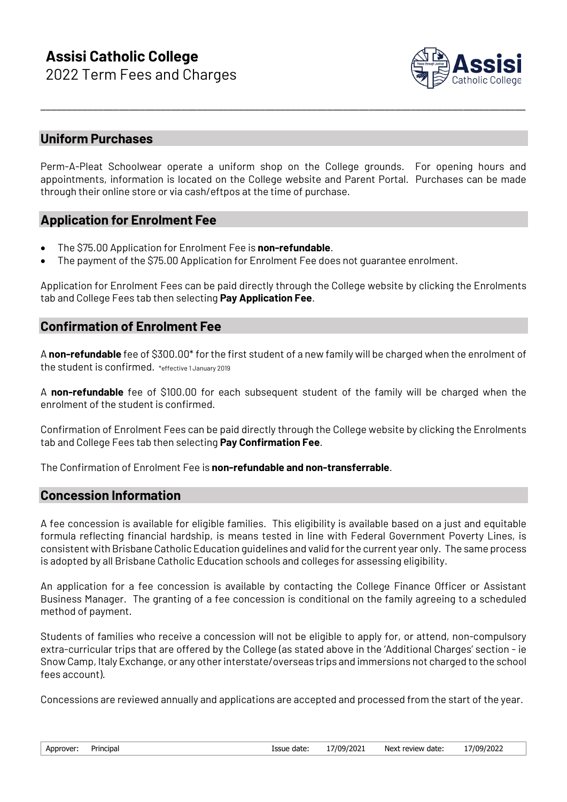

# **Uniform Purchases**

Perm-A-Pleat Schoolwear operate a uniform shop on the College grounds. For opening hours and appointments, information is located on the College website and Parent Portal. Purchases can be made through their online store or via cash/eftpos at the time of purchase.

\_\_\_\_\_\_\_\_\_\_\_\_\_\_\_\_\_\_\_\_\_\_\_\_\_\_\_\_\_\_\_\_\_\_\_\_\_\_\_\_\_\_\_\_\_\_\_\_\_\_\_\_\_\_\_\_\_\_\_\_\_\_\_\_\_\_\_\_\_\_\_\_\_\_\_\_\_\_\_\_\_\_\_\_\_\_\_\_\_\_\_\_\_

## **Application for Enrolment Fee**

- The \$75.00 Application for Enrolment Fee is **non-refundable**.
- The payment of the \$75.00 Application for Enrolment Fee does not quarantee enrolment.

Application for Enrolment Fees can be paid directly through the College website by clicking the Enrolments tab and College Fees tab then selecting **Pay Application Fee**.

# **Confirmation of Enrolment Fee**

A **non-refundable** fee of \$300.00\* for the first student of a new family will be charged when the enrolment of the student is confirmed. \*effective 1 January 2019

A **non-refundable** fee of \$100.00 for each subsequent student of the family will be charged when the enrolment of the student is confirmed.

Confirmation of Enrolment Fees can be paid directly through the College website by clicking the Enrolments tab and College Fees tab then selecting **Pay Confirmation Fee**.

The Confirmation of Enrolment Fee is **non-refundable and non-transferrable**.

## **Concession Information**

A fee concession is available for eligible families. This eligibility is available based on a just and equitable formula reflecting financial hardship, is means tested in line with Federal Government Poverty Lines, is consistent with Brisbane Catholic Education guidelines and valid for the current year only. The same process is adopted by all Brisbane Catholic Education schools and colleges for assessing eligibility.

An application for a fee concession is available by contacting the College Finance Officer or Assistant Business Manager. The granting of a fee concession is conditional on the family agreeing to a scheduled method of payment.

Students of families who receive a concession will not be eligible to apply for, or attend, non-compulsory extra-curricular trips that are offered by the College (as stated above in the 'Additional Charges' section - ie Snow Camp, Italy Exchange, or any other interstate/overseas trips and immersions not charged to the school fees account).

Concessions are reviewed annually and applications are accepted and processed from the start of the year.

| Approver: Principal | Issue date: 17/09/2021 | Next review date: | 17/09/2022 |
|---------------------|------------------------|-------------------|------------|
|                     |                        |                   |            |